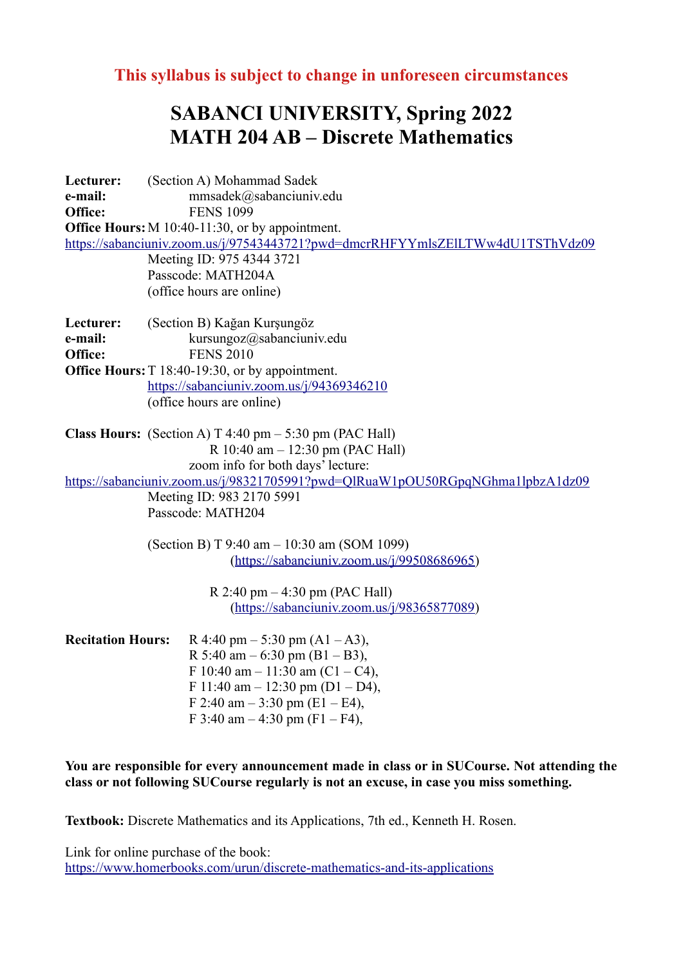**This syllabus is subject to change in unforeseen circumstances**

## **SABANCI UNIVERSITY, Spring 2022 MATH 204 AB – Discrete Mathematics**

**Lecturer:** (Section A) Mohammad Sadek **e-mail:** mmsadek@sabanciunivedu **Office:** FENS 1099 **Office Hours:** M 10:40-11:30, or by appointment. <https://sabanciuniv.zoom.us/j/97543443721?pwd=dmcrRHFYYmlsZElLTWw4dU1TSThVdz09> Meeting ID: 975 4344 3721 Passcode: MATH204A (office hours are online) **Lecturer:** (Section B) Kağan Kurşungöz **e-mail:** kursungoz@sabanciuniv.edu **Office:** FENS 2010 **Office Hours:**T 18:40-19:30, or by appointment. <https://sabanciuniv.zoom.us/j/94369346210> (office hours are online) **Class Hours:** (Section A) T 4:40 pm – 5:30 pm (PAC Hall) R 10:40 am – 12:30 pm (PAC Hall) zoom info for both days' lecture: <https://sabanciuniv.zoom.us/j/98321705991?pwd=QlRuaW1pOU50RGpqNGhma1lpbzA1dz09> Meeting ID: 983 2170 5991 Passcode: MATH204 (Section B) T 9:40 am – 10:30 am (SOM 1099) (<https://sabanciuniv.zoom.us/j/99508686965>) R 2:40 pm – 4:30 pm (PAC Hall) (<https://sabanciuniv.zoom.us/j/98365877089>) **Recitation Hours:**  $R$  4:40 pm – 5:30 pm (A1 – A3), R 5:40 am  $-$  6:30 pm (B1  $-$  B3), F 10:40 am – 11:30 am (C1 – C4), F 11:40 am  $-$  12:30 pm (D1 – D4), F 2:40 am  $-$  3:30 pm (E1 – E4),

F 3:40 am  $-$  4:30 pm (F1 – F4),

**You are responsible for every announcement made in class or in SUCourse. Not attending the class or not following SUCourse regularly is not an excuse, in case you miss something.**

**Textbook:** Discrete Mathematics and its Applications, 7th ed., Kenneth H. Rosen.

Link for online purchase of the book: <https://www.homerbooks.com/urun/discrete-mathematics-and-its-applications>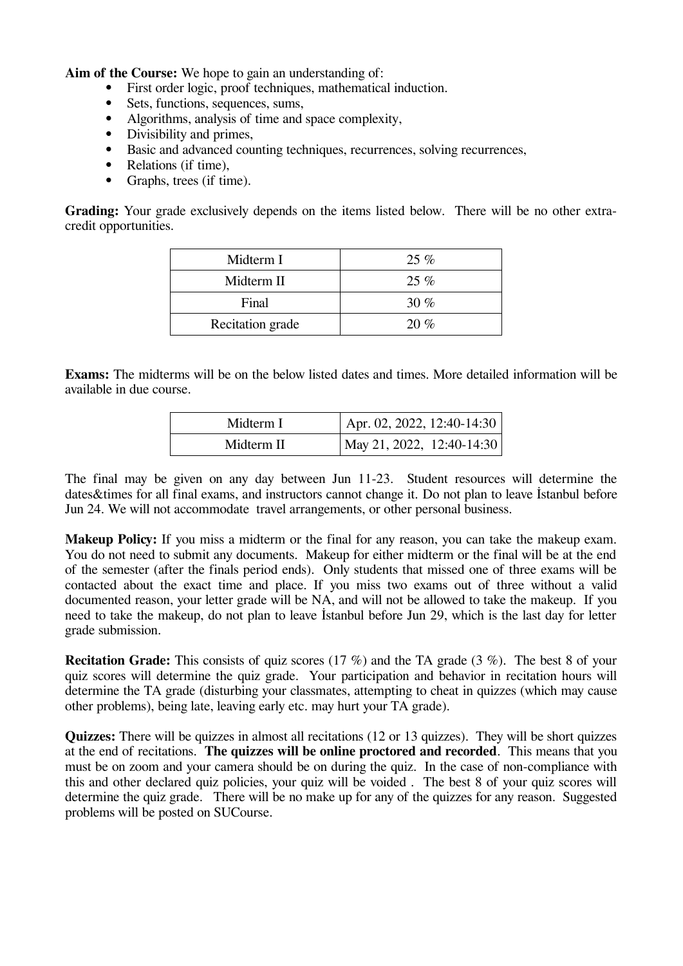**Aim of the Course:** We hope to gain an understanding of:

- First order logic, proof techniques, mathematical induction.
- Sets, functions, sequences, sums,<br>• Algorithms analysis of time and
- Algorithms, analysis of time and space complexity,<br>• Divisibility and primes
- Divisibility and primes,<br>• Basic and advanced cou
- Basic and advanced counting techniques, recurrences, solving recurrences,
- Relations (if time),
- Graphs, trees (if time).

**Grading:** Your grade exclusively depends on the items listed below. There will be no other extracredit opportunities.

| Midterm I        | $25\%$ |
|------------------|--------|
| Midterm II       | $25\%$ |
| Final            | 30 $%$ |
| Recitation grade | 20%    |

**Exams:** The midterms will be on the below listed dates and times. More detailed information will be available in due course.

| Midterm I  | Apr. 02, 2022, 12:40-14:30 |
|------------|----------------------------|
| Midterm II | May 21, 2022, 12:40-14:30  |

The final may be given on any day between Jun 11-23. Student resources will determine the dates & times for all final exams, and instructors cannot change it. Do not plan to leave Istanbul before Jun 24. We will not accommodate travel arrangements, or other personal business.

**Makeup Policy:** If you miss a midterm or the final for any reason, you can take the makeup exam. You do not need to submit any documents. Makeup for either midterm or the final will be at the end of the semester (after the finals period ends). Only students that missed one of three exams will be contacted about the exact time and place. If you miss two exams out of three without a valid documented reason, your letter grade will be NA, and will not be allowed to take the makeup. If you need to take the makeup, do not plan to leave İstanbul before Jun 29, which is the last day for letter grade submission.

**Recitation Grade:** This consists of quiz scores (17 %) and the TA grade (3 %). The best 8 of your quiz scores will determine the quiz grade. Your participation and behavior in recitation hours will determine the TA grade (disturbing your classmates, attempting to cheat in quizzes (which may cause other problems), being late, leaving early etc. may hurt your TA grade).

**Quizzes:** There will be quizzes in almost all recitations (12 or 13 quizzes). They will be short quizzes at the end of recitations. **The quizzes will be online proctored and recorded**. This means that you must be on zoom and your camera should be on during the quiz. In the case of non-compliance with this and other declared quiz policies, your quiz will be voided . The best 8 of your quiz scores will determine the quiz grade. There will be no make up for any of the quizzes for any reason. Suggested problems will be posted on SUCourse.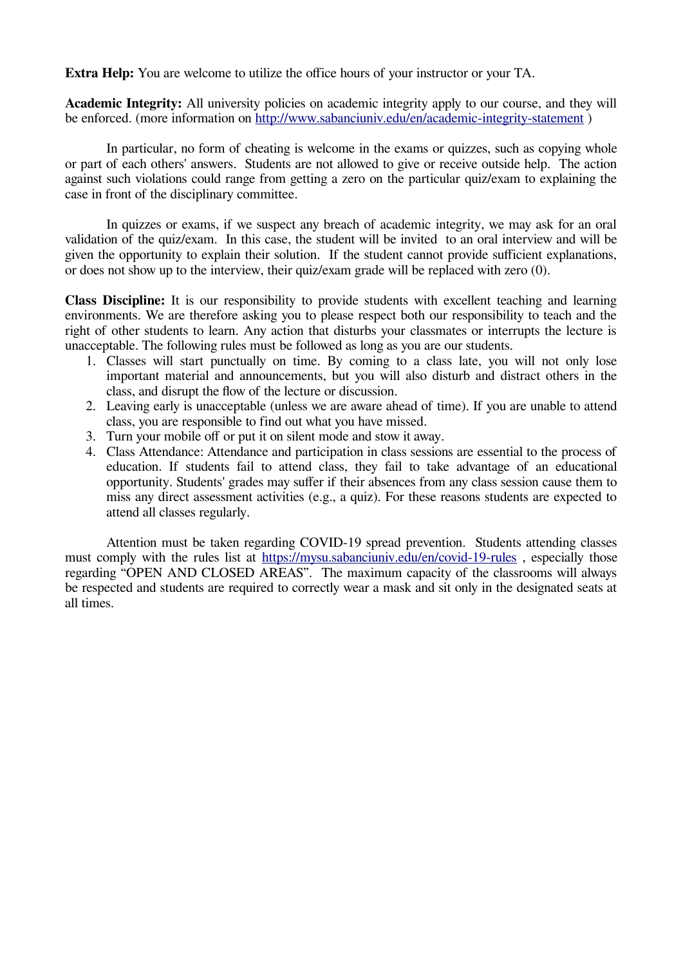**Extra Help:** You are welcome to utilize the office hours of your instructor or your TA.

**Academic Integrity:** All university policies on academic integrity apply to our course, and they will be enforced. (more information on http://www.sabanciuniv.edu/en/academic-integrity-statement )

In particular, no form of cheating is welcome in the exams or quizzes, such as copying whole or part of each others' answers. Students are not allowed to give or receive outside help. The action against such violations could range from getting a zero on the particular quiz/exam to explaining the case in front of the disciplinary committee.

In quizzes or exams, if we suspect any breach of academic integrity, we may ask for an oral validation of the quiz/exam. In this case, the student will be invited to an oral interview and will be given the opportunity to explain their solution. If the student cannot provide sufficient explanations, or does not show up to the interview, their quiz/exam grade will be replaced with zero (0).

**Class Discipline:** It is our responsibility to provide students with excellent teaching and learning environments. We are therefore asking you to please respect both our responsibility to teach and the right of other students to learn. Any action that disturbs your classmates or interrupts the lecture is unacceptable. The following rules must be followed as long as you are our students.

- 1. Classes will start punctually on time. By coming to a class late, you will not only lose important material and announcements, but you will also disturb and distract others in the class, and disrupt the flow of the lecture or discussion.
- 2. Leaving early is unacceptable (unless we are aware ahead of time). If you are unable to attend class, you are responsible to find out what you have missed.
- 3. Turn your mobile off or put it on silent mode and stow it away.
- 4. Class Attendance: Attendance and participation in class sessions are essential to the process of education. If students fail to attend class, they fail to take advantage of an educational opportunity. Students' grades may suffer if their absences from any class session cause them to miss any direct assessment activities (e.g., a quiz). For these reasons students are expected to attend all classes regularly.

Attention must be taken regarding COVID-19 spread prevention. Students attending classes must comply with the rules list at<https://mysu.sabanciuniv.edu/en/covid-19-rules>, especially those regarding "OPEN AND CLOSED AREAS". The maximum capacity of the classrooms will always be respected and students are required to correctly wear a mask and sit only in the designated seats at all times.